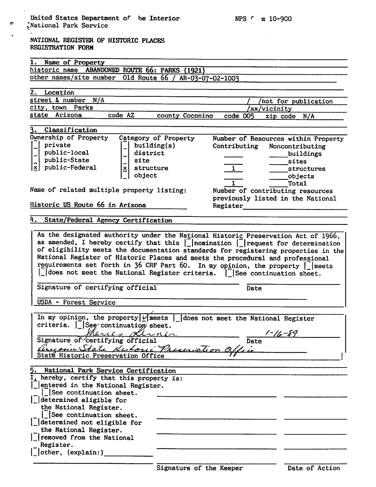previously listed in the National

Total

| National Park Service                                            |                        |                  |                                     |
|------------------------------------------------------------------|------------------------|------------------|-------------------------------------|
| NATIONAL REGISTER OF HISTORIC PLACES<br><b>REGISTRATION FORM</b> |                        |                  |                                     |
| Name of Property                                                 |                        |                  |                                     |
| historic name<br><b>ABANDONED</b>                                | ROUTE 66: PARKS (1921) |                  |                                     |
| other names/site number                                          | 01d Route 66           | AR-03-07-02-1003 |                                     |
|                                                                  |                        |                  |                                     |
| Location                                                         |                        |                  |                                     |
| street & number<br>N/A                                           |                        |                  | not for publication                 |
| Parks<br>city, town                                              |                        |                  | xx/vicinity                         |
| Arizona<br>code AZ<br>state                                      | county Coconino        | code 005         | zip code N/A                        |
|                                                                  |                        |                  |                                     |
| Classification                                                   |                        |                  |                                     |
| Ownership of Property                                            | Category of Property   |                  | Number of Resources within Property |
| private<br>-                                                     | building(s)            | Contributing     | Noncontributing                     |
| public-local<br>$\rightarrow$                                    | district               |                  | buildings                           |
| public-State                                                     | site                   |                  | sites                               |
| public-Federal<br>$\bf x$                                        | structure              |                  | structures                          |
|                                                                  | object                 |                  | objects                             |

Name of related multiple property listing: Number of contributing resources

Historic US Route 66 in Arizona Register

## 4. State/Federal Agency Certification

As the designated authority under the National Historic Preservation Act of 1966, as amended, I hereby certify that this  $|$  nomination  $|$  request for determination of eligibility meets the documentation standards for registering properties in the National Register of Historic Places and meets the procedural and professional requirements set forth in 36 CRF Part 60. In my opinion, the property  $\lfloor \frac{1}{2} \rfloor$  meets  $|\cdot|$  does not meet the National Register criteria.  $|\cdot|$  See continuation sheet.

Signature of certifying official Date

USDA - Forest Service

In my opinion, the property  $|$ <sup>'</sup> meets | does not meet the National Register criteria. |\_|See-'continuation? sheet.

| Signature of certifying official          | Date |
|-------------------------------------------|------|
| Argenic State Kutonic Preservation Office |      |
| Staté Historic Preservation Office        |      |
|                                           |      |

| 5. National Park Service Certification                                                                                                              |  |
|-----------------------------------------------------------------------------------------------------------------------------------------------------|--|
| I, hereby, certify that this property is:<br>  entered in the National Register.<br>$\begin{bmatrix} 1 \\ -1 \end{bmatrix}$ See continuation sheet. |  |
| $\lfloor$ determined eligible for<br>the National Register.<br>$\int$ See continuation sheet.                                                       |  |
| determined not eligible for<br>the National Register.                                                                                               |  |
| $\vert$ removed from the National<br>Register.                                                                                                      |  |
| $\vert$ other, (explain:)                                                                                                                           |  |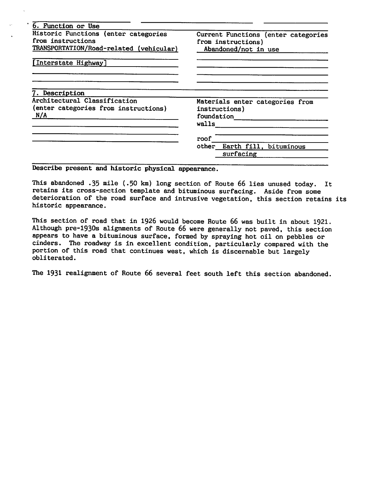| 6. Function or Use                      |                                     |  |
|-----------------------------------------|-------------------------------------|--|
| Historic Functions (enter categories    | Current Functions (enter categories |  |
| from instructions                       | from instructions)                  |  |
| TRANSPORTATION/Road-related (vehicular) | Abandoned/not in use                |  |
| [Interstate Highway]                    |                                     |  |
|                                         |                                     |  |
| <b>7. Description</b>                   |                                     |  |
| Architectural Classification            | Materials enter categories from     |  |
| (enter categories from instructions)    | instructions)                       |  |
| N/A                                     | foundation                          |  |
|                                         | walls                               |  |
|                                         | roof                                |  |
|                                         | other<br>Earth fill.<br>bituminous  |  |
|                                         | surfacing                           |  |
|                                         |                                     |  |

Describe present and historic physical appearance.

 $\sim$ 

This abandoned .35 mile (.50 km) long section of Route 66 lies unused today. It retains its cross-section template and bituminous surfacing. Aside from some deterioration of the road surface and intrusive vegetation, this section retains its historic appearance.

This section of road that in 1926 would become Route 66 was built in about 1921. Although pre-193Os alignments of Route 66 were generally not paved, this section appears to have a bituminous surface, formed by spraying hot oil on pebbles or cinders. The roadway is in excellent condition, particularly compared with the portion of this road that continues west, which is discernable but largely obliterated.

The 1931 realignment of Route 66 several feet south left this section abandoned.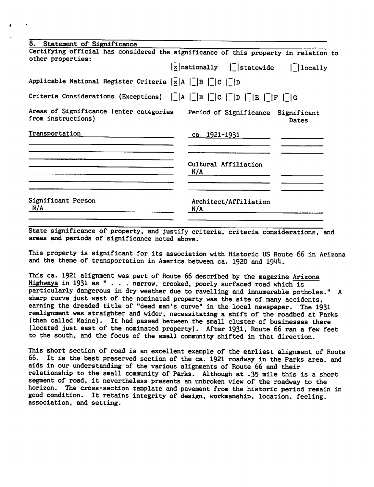| Certifying official has considered the significance of this property in relation to                                                                                                                                                                                                                                                                                           |
|-------------------------------------------------------------------------------------------------------------------------------------------------------------------------------------------------------------------------------------------------------------------------------------------------------------------------------------------------------------------------------|
| $ \bar{x} $ nationally $ \bar{r} $ statewide $ \bar{r} $ locally                                                                                                                                                                                                                                                                                                              |
|                                                                                                                                                                                                                                                                                                                                                                               |
| Criteria Considerations (Exceptions) $\begin{bmatrix} 1 & 1 \\ 1 & 1 \end{bmatrix}$ $\begin{bmatrix} 1 & 1 \\ 1 & 1 \end{bmatrix}$ $\begin{bmatrix} 1 & 1 \\ 1 & 1 \end{bmatrix}$ $\begin{bmatrix} 1 & 1 \\ 1 & 1 \end{bmatrix}$ $\begin{bmatrix} 1 & 1 \\ 1 & 1 \end{bmatrix}$ $\begin{bmatrix} 1 & 1 \\ 1 & 1 \end{bmatrix}$ $\begin{bmatrix} 1 & 1 \\ 1 & 1 \end{bmatrix}$ |
| Areas of Significance (enter categories Period of Significance Significant<br><b>Dates</b>                                                                                                                                                                                                                                                                                    |
|                                                                                                                                                                                                                                                                                                                                                                               |
| Cultural Affiliation                                                                                                                                                                                                                                                                                                                                                          |
| Architect/Affiliation                                                                                                                                                                                                                                                                                                                                                         |
|                                                                                                                                                                                                                                                                                                                                                                               |

State significance of property, and justify criteria, criteria considerations, and areas and periods of significance noted above.

This property is significant for its association with Historic US Route 66 in Arizona and the theme of transportation in America between ca. 1920 and 1944.

This ca. 1921 alignment was part of Route 66 described by the magazine Arizona Highways in <sup>1931</sup> as "... narrow, crooked, poorly surfaced road which is particularly dangerous in dry weather due to ravelling and innumerable potholes." sharp curve just west of the nominated property was the site of many accidents, earning the dreaded title of "dead man's curve" in the local newspaper. The 1931 realignment was straighter and wider, necessitating a shift of the roadbed at Parks (then called Maine). It had passed between the small cluster of businesses there (located just east of the nominated property). After 1931, Route 66 ran a few feet to the south, and the focus of the small community shifted in that direction.

This short section of road is an excellent example of the earliest alignment of Route 66. It is the best preserved section of the ca. 1921 roadway in the Parks area, and aids in our understanding of the various alignments of Route 66 and their relationship to the small community of Parks. Although at .35 mile this is a short segment of road, it nevertheless presents an unbroken view of the roadway to the horizon. The cross-section template and pavement from the historic period remain in good condition. It retains integrity of design, workmanship, location, feeling, association, and setting.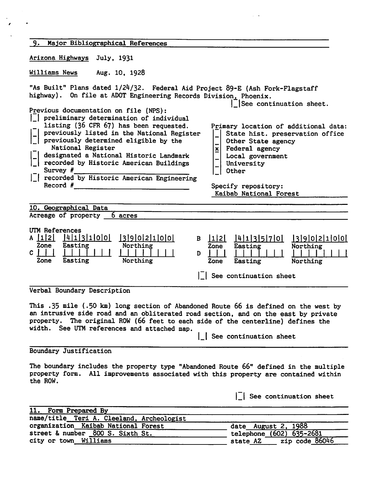| 9. Major Bibliographical References                                                                                                                                                                                                                                                                                                                                                                                                                                                                                                                                                                                                           |                                                                                                                                                                                                                                               |
|-----------------------------------------------------------------------------------------------------------------------------------------------------------------------------------------------------------------------------------------------------------------------------------------------------------------------------------------------------------------------------------------------------------------------------------------------------------------------------------------------------------------------------------------------------------------------------------------------------------------------------------------------|-----------------------------------------------------------------------------------------------------------------------------------------------------------------------------------------------------------------------------------------------|
| Arizona Highways July, 1931                                                                                                                                                                                                                                                                                                                                                                                                                                                                                                                                                                                                                   |                                                                                                                                                                                                                                               |
| Williams News<br>Aug. 10, 1928                                                                                                                                                                                                                                                                                                                                                                                                                                                                                                                                                                                                                |                                                                                                                                                                                                                                               |
| "As Built" Plans dated 1/24/32. Federal Aid Project 89-E (Ash Fork-Flagstaff<br>highway). On file at ADOT Engineering Records Division, Phoenix.<br>Previous documentation on file (NPS):<br>preliminary determination of individual<br>listing (36 CFR 67) has been requested.<br>previously listed in the National Register<br>previously determined eligible by the<br>National Register<br>xļ<br>designated a National Historic Landmark<br> _  designated a National Historic Landmark<br> _  recorded by Historic American Buildings<br>Survey #<br>    recorded by Historic American Engineering<br>$\mathsf{Record}$ # $\blacksquare$ | See continuation sheet.<br>Primary location of additional data:<br>State hist. preservation office<br>Other State agency<br>Federal agency<br>Local government<br>University<br><b>Other</b><br>Specify repository:<br>Kaibab National Forest |
| 10. Geographical Data                                                                                                                                                                                                                                                                                                                                                                                                                                                                                                                                                                                                                         |                                                                                                                                                                                                                                               |
| Acreage of property 6 acres                                                                                                                                                                                                                                                                                                                                                                                                                                                                                                                                                                                                                   |                                                                                                                                                                                                                                               |
| UTM References<br>A 12 413100<br>13902100<br> 1 2 <br>$\mathbf{B}$<br>Easting<br>Northing<br>Zone<br>Zone<br>$c \perp$<br>D.<br>Northing<br>Easting<br>Zone<br>Zone                                                                                                                                                                                                                                                                                                                                                                                                                                                                           | 4 1 3 5 7 0 <br>13 9 0 2 1 0 0 <br>Easting<br>Northing<br>Easting<br>Northing<br>See continuation sheet                                                                                                                                       |
| Verbal Boundary Description                                                                                                                                                                                                                                                                                                                                                                                                                                                                                                                                                                                                                   |                                                                                                                                                                                                                                               |
| This .35 mile (.50 km) long section of Abandoned Route 66 is defined on the west by<br>an intrusive side road and an obliterated road section, and on the east by private<br>property. The original ROW (66 feet to each side of the centerline) defines the<br>width. See UTM references and attached map.                                                                                                                                                                                                                                                                                                                                   | See continuation sheet                                                                                                                                                                                                                        |
| Boundary Justification                                                                                                                                                                                                                                                                                                                                                                                                                                                                                                                                                                                                                        |                                                                                                                                                                                                                                               |
| The boundary includes the property type "Abandoned Route 66" defined in the multiple<br>property form. All improvements associated with this property are contained within<br>the ROW.                                                                                                                                                                                                                                                                                                                                                                                                                                                        |                                                                                                                                                                                                                                               |
|                                                                                                                                                                                                                                                                                                                                                                                                                                                                                                                                                                                                                                               | See continuation sheet                                                                                                                                                                                                                        |
| <b>11.</b><br>Form Prepared By                                                                                                                                                                                                                                                                                                                                                                                                                                                                                                                                                                                                                |                                                                                                                                                                                                                                               |
| name/title_Teri A. Cleeland, Archeologist                                                                                                                                                                                                                                                                                                                                                                                                                                                                                                                                                                                                     |                                                                                                                                                                                                                                               |
| organization Kaibab National Forest<br>street & number 800 S. Sixth St.                                                                                                                                                                                                                                                                                                                                                                                                                                                                                                                                                                       | date August 2, 1988                                                                                                                                                                                                                           |
| city or town Williams                                                                                                                                                                                                                                                                                                                                                                                                                                                                                                                                                                                                                         | telephone (602) 635-2681<br>zip code 86046<br>state AZ                                                                                                                                                                                        |
|                                                                                                                                                                                                                                                                                                                                                                                                                                                                                                                                                                                                                                               |                                                                                                                                                                                                                                               |

 $\frac{1}{\sqrt{2}}\int_{\mathbb{R}^{2}}\frac{1}{\sqrt{2}}\left(\frac{1}{\sqrt{2}}\right)^{2}dx\leq\frac{1}{2}\int_{\mathbb{R}^{2}}\frac{1}{\sqrt{2}}\left(\frac{1}{\sqrt{2}}\right)^{2}dx$ 

 $\Delta \sim 10^{-11}$ 

 $\mathcal{L}^{\text{max}}_{\text{max}}$  , where  $\mathcal{L}^{\text{max}}_{\text{max}}$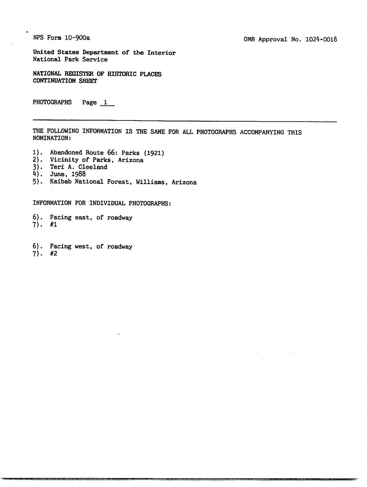NPS Form 10-900a

United States Department of the Interior National Park Service

NATIONAL REGISTER OF HISTORIC PLACES CONTINUATION SHEET

PHOTOGRAPHS Page 1

THE FOLLOWING INFORMATION IS THE SAME FOR ALL PHOTOGRAPHS ACCOMPANYING THIS NOMINATION:

- 1). Abandoned Route 66: Parks (1921)
- 2). Vicinity of Parks, Arizona
- 3). Teri A. Cleeland
- 4). June, 1988
- 5). Kaibab National Forest, Williams, Arizona

INFORMATION FOR INDIVIDUAL PHOTOGRAPHS:

6). Facing east, of roadway 7). #1

6). Facing west, of roadway

7). #2